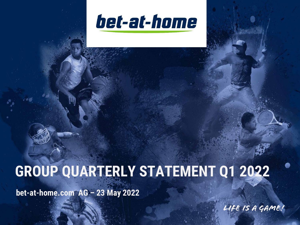

# **GROUP QUARTERLY STATEMENT Q1 2022**

**bet-at-home.com AG – 23 May 2022**

Life is a game!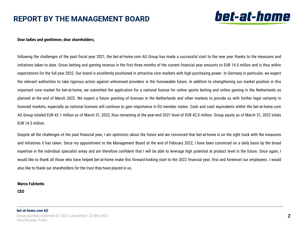## **REPORT BY THE MANAGEMENT BOARD**



#### **Dear ladies and gentlemen, dear shareholders,**

following the challenges of the past fiscal year 2021, the bet-at-home.com AG Group has made a successful start to the new year thanks to the measures and initiatives taken to date. Gross betting and gaming revenue in the first three months of the current financial year amounts to EUR 14.0 million and is thus within expectations for the full year 2022. Our brand is excellently positioned in attractive core markets with high purchasing power. In Germany in particular, we expect the relevant authorities to take rigorous action against unlicensed providers in the foreseeable future. In addition to strengthening our market position in this important core market for bet-at-home, we submitted the application for a national license for online sports betting and online gaming in the Netherlands as planned at the end of March 2022. We expect a future granting of licenses in the Netherlands and other markets to provide us with further legal certainty in licensed markets, especially as national licenses will continue to gain importance in EU member states. Cash and cash equivalents within the bet-at-home.com AG Group totaled EUR 42.1 million as of March 31, 2022, thus remaining at the year-end 2021 level of EUR 42.0 million. Group equity as of March 31, 2022 totals EUR 14.3 million.

Despite all the challenges of the past financial year, I am optimistic about the future and am convinced that bet-at-home is on the right track with the measures and initiatives it has taken. Since my appointment to the Management Board at the end of February 2022, I have been convinced on a daily basis by the broad expertise in the individual specialist areas and am therefore confident that I will be able to leverage high potential at product level in the future. Once again, I would like to thank all those who have helped bet-at-home make this forward-looking start to the 2022 financial year, first and foremost our employees. I would also like to thank our shareholders for the trust they have placed in us.

#### **Marco Falchetto**

**CEO**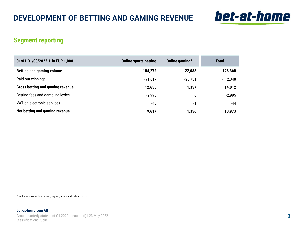

### **Segment reporting**

| 01/01-31/03/2022   in EUR 1,000         | <b>Online sports betting</b> | Online gaming* | Total    |
|-----------------------------------------|------------------------------|----------------|----------|
| <b>Betting and gaming volume</b>        | 104,272                      | 22,088         | 126,360  |
| Paid out winnings                       | $-91,617$                    | $-20,731$      | -112,348 |
| <b>Gross betting and gaming revenue</b> | 12,655                       | 1,357          | 14,012   |
| Betting fees and gambling levies        | $-2,995$                     | 0              | $-2,995$ |
| VAT on electronic services              | -43                          | -1             | -44      |
| Net betting and gaming revenue          | 9,617                        | 1,356          | 10.973   |

\* includes casino, live casino, vegas games and virtual sports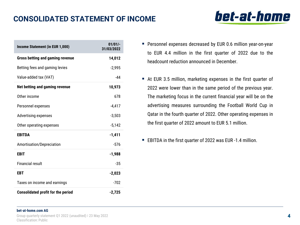# **CONSOLIDATED STATEMENT OF INCOME**

| Income Statement (in EUR 1,000)           | $01/01/-$<br>31/03/2022 |
|-------------------------------------------|-------------------------|
| <b>Gross betting and gaming revenue</b>   | 14,012                  |
| Betting fees and gaming levies            | $-2,995$                |
| Value-added tax (VAT)                     | $-44$                   |
| Net betting and gaming revenue            | 10,973                  |
| Other income                              | 678                     |
| Personnel expenses                        | $-4,417$                |
| <b>Advertising expenses</b>               | $-3,503$                |
| Other operating expenses                  | $-5,142$                |
| EBITDA                                    | $-1,411$                |
| Amortisation/Depreciation                 | $-576$                  |
| EBIT                                      | $-1,988$                |
| Financial result                          | $-35$                   |
| EBT                                       | $-2,023$                |
| Taxes on income and earnings              | $-702$                  |
| <b>Consolidated profit for the period</b> | $-2,725$                |

- **Personnel expenses decreased by EUR 0.6 million year-on-year** to EUR 4.4 million in the first quarter of 2022 due to the headcount reduction announced in December.
- At EUR 3.5 million, marketing expenses in the first quarter of 2022 were lower than in the same period of the previous year. The marketing focus in the current financial year will be on the advertising measures surrounding the Football World Cup in Qatar in the fourth quarter of 2022. Other operating expenses in the first quarter of 2022 amount to EUR 5.1 million.
- EBITDA in the first quarter of 2022 was EUR -1.4 million.

#### **bet-at-home.com AG**

Group quarterly statement Q1 2022 (unaudited) ǀ 23 May 2022 Classification: Public

# bet-at-home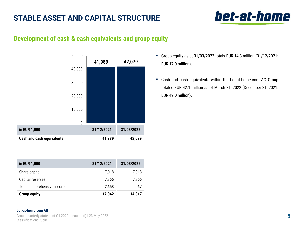# **STABLE ASSET AND CAPITAL STRUCTURE**

# bet-at-home

## **Development of cash & cash equivalents and group equity**



| Group equity as at $31/03/2022$ totals EUR 14.3 million $(31/12/2021)$ : |
|--------------------------------------------------------------------------|
| EUR 17.0 million).                                                       |

■ Cash and cash equivalents within the bet-at-home.com AG Group totaled EUR 42.1 million as of March 31, 2022 (December 31, 2021: EUR 42.0 million).

| in EUR 1,000               | 31/12/2021 | 31/03/2022 |
|----------------------------|------------|------------|
| Share capital              | 7,018      | 7,018      |
| Capital reserves           | 7,366      | 7,366      |
| Total comprehensive income | 2,658      | -67        |
| <b>Group equity</b>        | 17,042     | 14,317     |

#### **bet-at-home.com AG**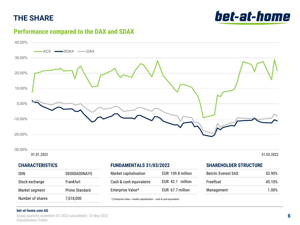# **THE SHARE**



## **Performance compared to the DAX and SDAX**



#### **CHARACTERISTICS**

| ISIN             | DE000A0DNAY5     |
|------------------|------------------|
| Stock exchange   | <b>Frankfurt</b> |
| Market segment   | Prime Standard   |
| Number of shares | 7,018,000        |

#### **FUNDAMENTALS 31/03/2022**

| Market capitalisation   | EUR 109.8 million |
|-------------------------|-------------------|
| Cash & cash equivalents | EUR 42.1 million  |
| Enterprise Value*       | EUR 67.7 million  |

\*) Enterprise Value = market capitalisation – cash & cash equivalents

#### **SHAREHOLDER STRUCTURE**

| <b>Betclic Everest SAS</b> | 53.90% |
|----------------------------|--------|
| Freefloat                  | 45.10% |
| Management                 | 1.00%  |

#### **bet-at-home.com AG**

Group quarterly statement Q1 2022 (unaudited) ǀ 23 May 2022 Classification: Public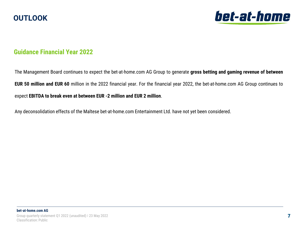



### **Guidance Financial Year 2022**

The Management Board continues to expect the bet-at-home.com AG Group to generate **gross betting and gaming revenue of between EUR 50 million and EUR 60** million in the 2022 financial year. For the financial year 2022, the bet-at-home.com AG Group continues to expect **EBITDA to break even at between EUR -2 million and EUR 2 million**.

Any deconsolidation effects of the Maltese bet-at-home.com Entertainment Ltd. have not yet been considered.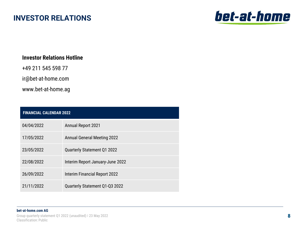## **INVESTOR RELATIONS**



### **Investor Relations Hotline**

+49 211 545 598 77

ir@bet-at-home.com

www.bet-at-home.ag

| <b>FINANCIAL CALENDAR 2022</b> |                                    |
|--------------------------------|------------------------------------|
| 04/04/2022                     | <b>Annual Report 2021</b>          |
| 17/05/2022                     | <b>Annual General Meeting 2022</b> |
| 23/05/2022                     | Quarterly Statement Q1 2022        |
| 22/08/2022                     | Interim Report January-June 2022   |
| 26/09/2022                     | Interim Financial Report 2022      |
| 21/11/2022                     | Quarterly Statement Q1-Q3 2022     |